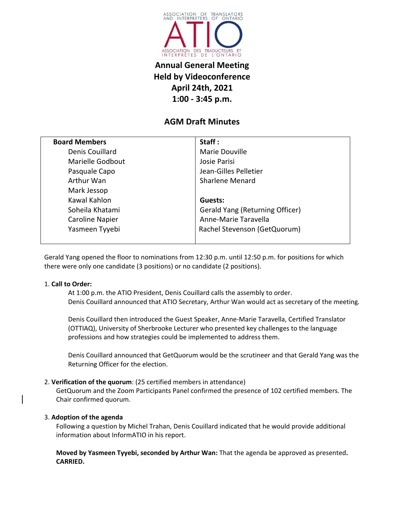

# **Annual General Meeting Held by Videoconference April 24th, 2021 1:00 - 3:45 p.m.**

## **AGM Draft Minutes**

| <b>Board Members</b> | Staff:                          |
|----------------------|---------------------------------|
| Denis Couillard      | Marie Douville                  |
| Marielle Godbout     | Josie Parisi                    |
| Pasquale Capo        | Jean-Gilles Pelletier           |
| Arthur Wan           | <b>Sharlene Menard</b>          |
| Mark Jessop          |                                 |
| Kawal Kahlon         | Guests:                         |
| Soheila Khatami      | Gerald Yang (Returning Officer) |
| Caroline Napier      | Anne-Marie Taravella            |
| Yasmeen Tyyebi       | Rachel Stevenson (GetQuorum)    |
|                      |                                 |

Gerald Yang opened the floor to nominations from 12:30 p.m. until 12:50 p.m. for positions for which there were only one candidate (3 positions) or no candidate (2 positions).

#### 1. **Call to Order:**

At 1:00 p.m. the ATIO President, Denis Couillard calls the assembly to order. Denis Couillard announced that ATIO Secretary, Arthur Wan would act as secretary of the meeting*.*

Denis Couillard then introduced the Guest Speaker, Anne-Marie Taravella, Certified Translator (OTTIAQ), University of Sherbrooke Lecturer who presented key challenges to the language professions and how strategies could be implemented to address them.

Denis Couillard announced that GetQuorum would be the scrutineer and that Gerald Yang was the Returning Officer for the election.

#### 2. **Verification of the quorum**: (25 certified members in attendance)

GetQuorum and the Zoom Participants Panel confirmed the presence of 102 certified members. The Chair confirmed quorum.

#### 3. **Adoption of the agenda**

Following a question by Michel Trahan, Denis Couillard indicated that he would provide additional information about InformATIO in his report.

**Moved by Yasmeen Tyyebi, seconded by Arthur Wan:** That the agenda be approved as presented**. CARRIED.**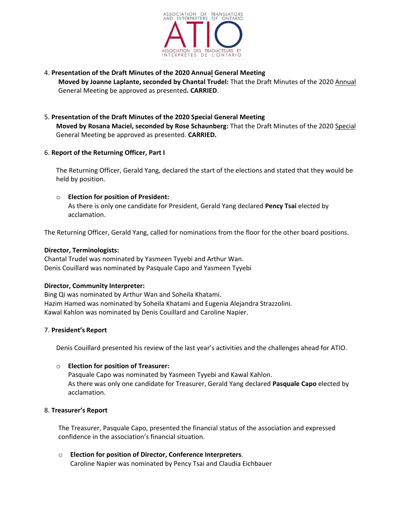

#### 4. **Presentation of the Draft Minutes of the 2020 Annual General Meeting Moved by Joanne Laplante, seconded by Chantal Trudel: That the Draft Minutes of the 2020 Annual** General Meeting be approved as presented**. CARRIED**.

### 5. **Presentation of the Draft Minutes of the 2020 Special General Meeting Moved by Rosana Maciel, seconded by Rose Schaunberg:** That the Draft Minutes of the 2020 Special General Meeting be approved as presented. **CARRIED.**

#### 6. **Report of the Returning Officer, Part I**

The Returning Officer, Gerald Yang, declared the start of the elections and stated that they would be held by position.

#### o **Election for position of President:**

As there is only one candidate for President, Gerald Yang declared **Pency Tsai** elected by acclamation.

The Returning Officer, Gerald Yang, called for nominations from the floor for the other board positions.

#### **Director, Terminologists:**

Chantal Trudel was nominated by Yasmeen Tyyebi and Arthur Wan. Denis Couillard was nominated by Pasquale Capo and Yasmeen Tyyebi

#### **Director, Community Interpreter:**

Bing Qi was nominated by Arthur Wan and Soheila Khatami. Hazim Hamed was nominated by Soheila Khatami and Eugenia Alejandra Strazzolini. Kawal Kahlon was nominated by Denis Couillard and Caroline Napier.

#### 7. **President's Report**

Denis Couillard presented his review of the last year's activities and the challenges ahead for ATIO.

#### o **Election for position of Treasurer:**

Pasquale Capo was nominated by Yasmeen Tyyebi and Kawal Kahlon. As there was only one candidate for Treasurer, Gerald Yang declared **Pasquale Capo** elected by acclamation.

#### 8. **Treasurer's Report**

The Treasurer, Pasquale Capo, presented the financial status of the association and expressed confidence in the association's financial situation.

o **Election for position of Director, Conference Interpreters**. Caroline Napier was nominated by Pency Tsai and Claudia Eichbauer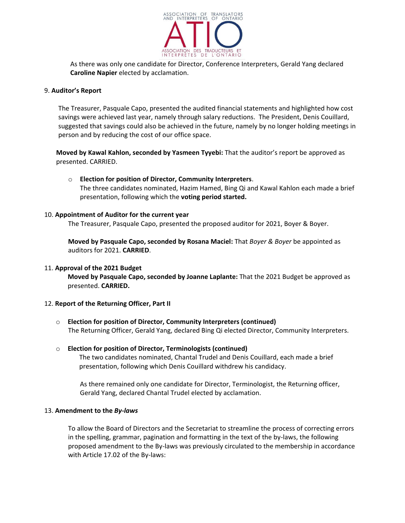

As there was only one candidate for Director, Conference Interpreters, Gerald Yang declared **Caroline Napier** elected by acclamation.

#### 9. **Auditor's Report**

The Treasurer, Pasquale Capo, presented the audited financial statements and highlighted how cost savings were achieved last year, namely through salary reductions. The President, Denis Couillard, suggested that savings could also be achieved in the future, namely by no longer holding meetings in person and by reducing the cost of our office space.

**Moved by Kawal Kahlon, seconded by Yasmeen Tyyebi:** That the auditor's report be approved as presented. CARRIED.

#### o **Election for position of Director, Community Interpreters**.

The three candidates nominated, Hazim Hamed, Bing Qi and Kawal Kahlon each made a brief presentation, following which the **voting period started.**

#### 10. **Appointment of Auditor for the current year**

The Treasurer, Pasquale Capo, presented the proposed auditor for 2021, Boyer & Boyer.

**Moved by Pasquale Capo, seconded by Rosana Maciel:** That *Boyer & Boyer* be appointed as auditors for 2021. **CARRIED**.

#### 11. **Approval of the 2021 Budget**

**Moved by Pasquale Capo, seconded by Joanne Laplante:** That the 2021 Budget be approved as presented. **CARRIED.**

#### 12. **Report of the Returning Officer, Part II**

o **Election for position of Director, Community Interpreters (continued)** The Returning Officer, Gerald Yang, declared Bing Qi elected Director, Community Interpreters.

#### o **Election for position of Director, Terminologists (continued)** The two candidates nominated, Chantal Trudel and Denis Couillard, each made a brief presentation, following which Denis Couillard withdrew his candidacy.

As there remained only one candidate for Director, Terminologist, the Returning officer, Gerald Yang, declared Chantal Trudel elected by acclamation.

#### 13. **Amendment to the** *By-laws*

To allow the Board of Directors and the Secretariat to streamline the process of correcting errors in the spelling, grammar, pagination and formatting in the text of the by-laws, the following proposed amendment to the By-laws was previously circulated to the membership in accordance with Article 17.02 of the By-laws: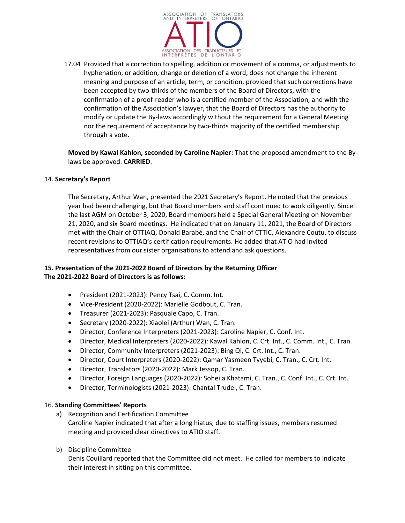

17.04 Provided that a correction to spelling, addition or movement of a comma, or adjustments to hyphenation, or addition, change or deletion of a word, does not change the inherent meaning and purpose of an article, term, or condition, provided that such corrections have been accepted by two-thirds of the members of the Board of Directors, with the confirmation of a proof-reader who is a certified member of the Association, and with the confirmation of the Association's lawyer, that the Board of Directors has the authority to modify or update the By-laws accordingly without the requirement for a General Meeting nor the requirement of acceptance by two-thirds majority of the certified membership through a vote.

**Moved by Kawal Kahlon, seconded by Caroline Napier:** That the proposed amendment to the Bylaws be approved. **CARRIED**.

#### 14. **Secretary's Report**

The Secretary, Arthur Wan, presented the 2021 Secretary's Report. He noted that the previous year had been challenging, but that Board members and staff continued to work diligently. Since the last AGM on October 3, 2020, Board members held a Special General Meeting on November 21, 2020, and six Board meetings. He indicated that on January 11, 2021, the Board of Directors met with the Chair of OTTIAQ, Donald Barabé, and the Chair of CTTIC, Alexandre Coutu, to discuss recent revisions to OTTIAQ's certification requirements. He added that ATIO had invited representatives from our sister organisations to attend and ask questions.

## **15. Presentation of the 2021-2022 Board of Directors by the Returning Officer The 2021-2022 Board of Directors is as follows:**

- President (2021-2023): Pency Tsai, C. Comm. Int.
- Vice-President (2020-2022): Marielle Godbout, C. Tran.
- Treasurer (2021-2023): Pasquale Capo, C. Tran.
- Secretary (2020-2022): Xiaolei (Arthur) Wan, C. Tran.
- Director, Conference Interpreters (2021-2023): Caroline Napier, C. Conf. Int.
- Director, Medical Interpreters (2020-2022): Kawal Kahlon, C. Crt. Int., C. Comm. Int., C. Tran.
- Director, Community Interpreters (2021-2023): Bing Qi, C. Crt. Int., C. Tran.
- Director, Court Interpreters (2020-2022): Qamar Yasmeen Tyyebi, C. Tran., C. Crt. Int.
- Director, Translators (2020-2022): Mark Jessop, C. Tran.
- Director, Foreign Languages (2020-2022): Soheila Khatami, C. Tran., C. Conf. Int., C. Crt. Int.
- Director, Terminologists (2021-2023): Chantal Trudel, C. Tran.

#### 16. **Standing Committees' Reports**

- a) Recognition and Certification Committee Caroline Napier indicated that after a long hiatus, due to staffing issues, members resumed meeting and provided clear directives to ATIO staff.
- b) Discipline Committee

Denis Couillard reported that the Committee did not meet. He called for members to indicate their interest in sitting on this committee.